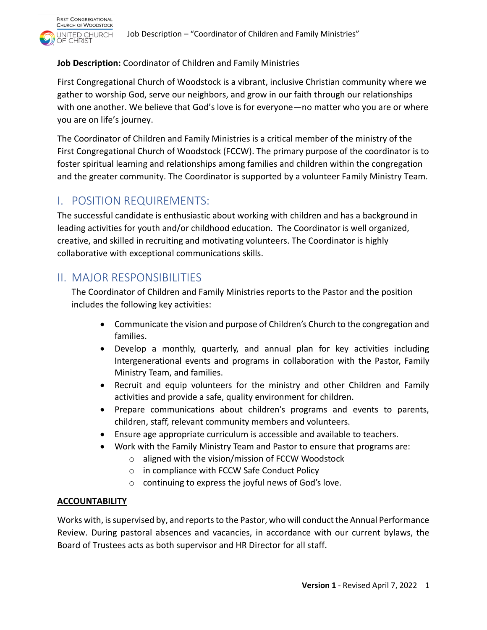

### **Job Description:** Coordinator of Children and Family Ministries

First Congregational Church of Woodstock is a vibrant, inclusive Christian community where we gather to worship God, serve our neighbors, and grow in our faith through our relationships with one another. We believe that God's love is for everyone—no matter who you are or where you are on life's journey.

The Coordinator of Children and Family Ministries is a critical member of the ministry of the First Congregational Church of Woodstock (FCCW). The primary purpose of the coordinator is to foster spiritual learning and relationships among families and children within the congregation and the greater community. The Coordinator is supported by a volunteer Family Ministry Team.

# I. POSITION REQUIREMENTS:

The successful candidate is enthusiastic about working with children and has a background in leading activities for youth and/or childhood education. The Coordinator is well organized, creative, and skilled in recruiting and motivating volunteers. The Coordinator is highly collaborative with exceptional communications skills.

## II. MAJOR RESPONSIBILITIES

The Coordinator of Children and Family Ministries reports to the Pastor and the position includes the following key activities:

- Communicate the vision and purpose of Children's Church to the congregation and families.
- Develop a monthly, quarterly, and annual plan for key activities including Intergenerational events and programs in collaboration with the Pastor, Family Ministry Team, and families.
- Recruit and equip volunteers for the ministry and other Children and Family activities and provide a safe, quality environment for children.
- Prepare communications about children's programs and events to parents, children, staff, relevant community members and volunteers.
- Ensure age appropriate curriculum is accessible and available to teachers.
- Work with the Family Ministry Team and Pastor to ensure that programs are:
	- o aligned with the vision/mission of FCCW Woodstock
	- o in compliance with FCCW Safe Conduct Policy
	- o continuing to express the joyful news of God's love.

### **ACCOUNTABILITY**

Works with, is supervised by, and reports to the Pastor, who will conduct the Annual Performance Review. During pastoral absences and vacancies, in accordance with our current bylaws, the Board of Trustees acts as both supervisor and HR Director for all staff.